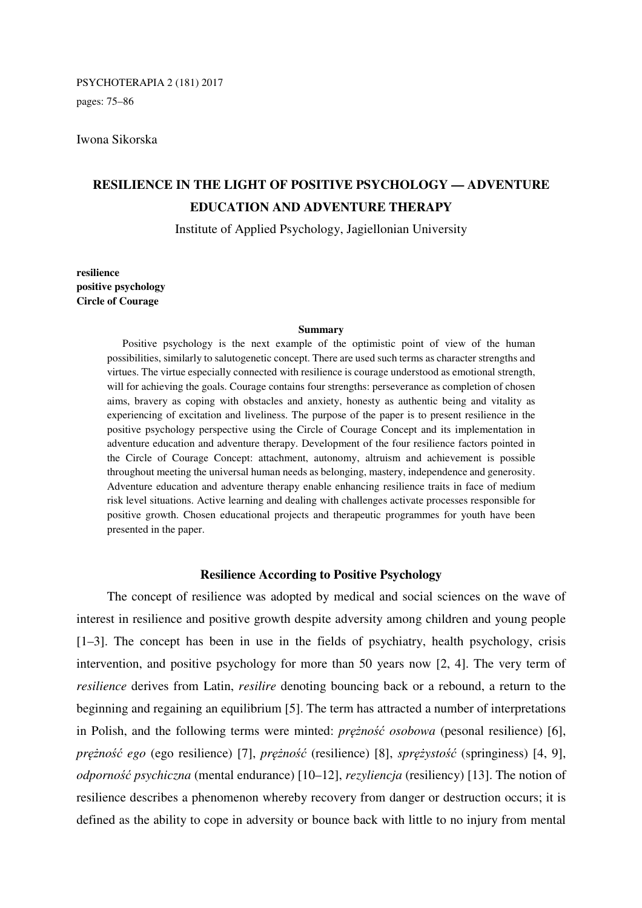pages: 75–86

## Iwona Sikorska

# **RESILIENCE IN THE LIGHT OF POSITIVE PSYCHOLOGY — ADVENTURE EDUCATION AND ADVENTURE THERAPY**

Institute of Applied Psychology, Jagiellonian University

**resilience positive psychology Circle of Courage** 

#### **Summary**

Positive psychology is the next example of the optimistic point of view of the human possibilities, similarly to salutogenetic concept. There are used such terms as character strengths and virtues. The virtue especially connected with resilience is courage understood as emotional strength, will for achieving the goals. Courage contains four strengths: perseverance as completion of chosen aims, bravery as coping with obstacles and anxiety, honesty as authentic being and vitality as experiencing of excitation and liveliness. The purpose of the paper is to present resilience in the positive psychology perspective using the Circle of Courage Concept and its implementation in adventure education and adventure therapy. Development of the four resilience factors pointed in the Circle of Courage Concept: attachment, autonomy, altruism and achievement is possible throughout meeting the universal human needs as belonging, mastery, independence and generosity. Adventure education and adventure therapy enable enhancing resilience traits in face of medium risk level situations. Active learning and dealing with challenges activate processes responsible for positive growth. Chosen educational projects and therapeutic programmes for youth have been presented in the paper.

### **Resilience According to Positive Psychology**

The concept of resilience was adopted by medical and social sciences on the wave of interest in resilience and positive growth despite adversity among children and young people [1–3]. The concept has been in use in the fields of psychiatry, health psychology, crisis intervention, and positive psychology for more than 50 years now [2, 4]. The very term of *resilience* derives from Latin, *resilire* denoting bouncing back or a rebound, a return to the beginning and regaining an equilibrium [5]. The term has attracted a number of interpretations in Polish, and the following terms were minted: *prężność osobowa* (pesonal resilience) [6], *prężność ego* (ego resilience) [7], *prężność* (resilience) [8], *sprężystość* (springiness) [4, 9], *odporność psychiczna* (mental endurance) [10–12], *rezyliencja* (resiliency) [13]. The notion of resilience describes a phenomenon whereby recovery from danger or destruction occurs; it is defined as the ability to cope in adversity or bounce back with little to no injury from mental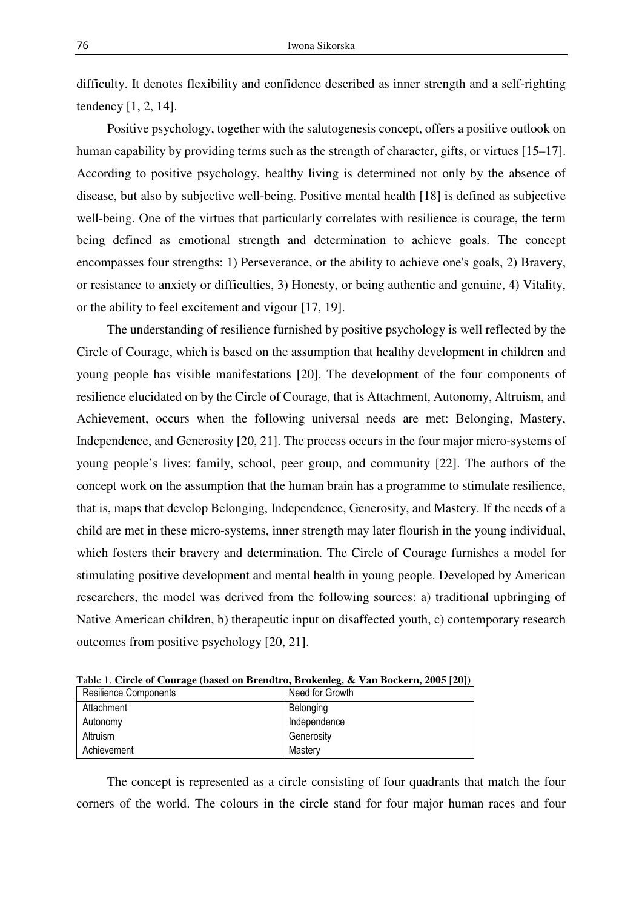difficulty. It denotes flexibility and confidence described as inner strength and a self-righting tendency [1, 2, 14].

Positive psychology, together with the salutogenesis concept, offers a positive outlook on human capability by providing terms such as the strength of character, gifts, or virtues [15–17]. According to positive psychology, healthy living is determined not only by the absence of disease, but also by subjective well-being. Positive mental health [18] is defined as subjective well-being. One of the virtues that particularly correlates with resilience is courage, the term being defined as emotional strength and determination to achieve goals. The concept encompasses four strengths: 1) Perseverance, or the ability to achieve one's goals, 2) Bravery, or resistance to anxiety or difficulties, 3) Honesty, or being authentic and genuine, 4) Vitality, or the ability to feel excitement and vigour [17, 19].

The understanding of resilience furnished by positive psychology is well reflected by the Circle of Courage, which is based on the assumption that healthy development in children and young people has visible manifestations [20]. The development of the four components of resilience elucidated on by the Circle of Courage, that is Attachment, Autonomy, Altruism, and Achievement, occurs when the following universal needs are met: Belonging, Mastery, Independence, and Generosity [20, 21]. The process occurs in the four major micro-systems of young people's lives: family, school, peer group, and community [22]. The authors of the concept work on the assumption that the human brain has a programme to stimulate resilience, that is, maps that develop Belonging, Independence, Generosity, and Mastery. If the needs of a child are met in these micro-systems, inner strength may later flourish in the young individual, which fosters their bravery and determination. The Circle of Courage furnishes a model for stimulating positive development and mental health in young people. Developed by American researchers, the model was derived from the following sources: a) traditional upbringing of Native American children, b) therapeutic input on disaffected youth, c) contemporary research outcomes from positive psychology [20, 21].

|  |   |  | Table 1. Circle of Courage (based on Brendtro, Brokenleg, & Van Bockern, 2005 [20]) |  |  |  |  |
|--|---|--|-------------------------------------------------------------------------------------|--|--|--|--|
|  | . |  | $\sim$ $\sim$ $\sim$ $\sim$ $\sim$ $\sim$                                           |  |  |  |  |

| Resilience Components | Need for Growth |
|-----------------------|-----------------|
| Attachment            | Belonging       |
| Autonomy              | Independence    |
| Altruism              | Generosity      |
| Achievement           | Mastery         |

The concept is represented as a circle consisting of four quadrants that match the four corners of the world. The colours in the circle stand for four major human races and four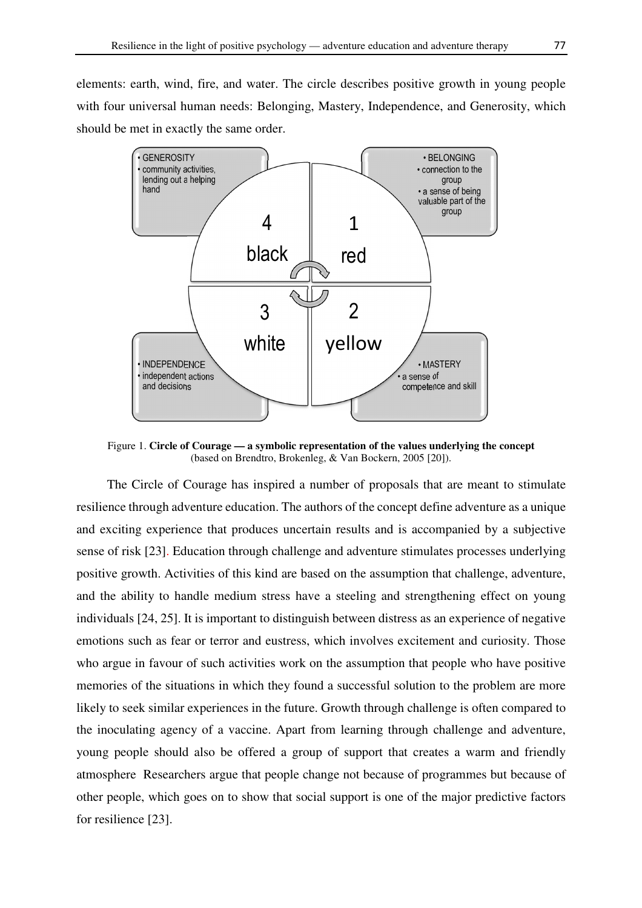elements: earth, wind, fire, and water. The circle describes positive growth in young people with four universal human needs: Belonging, Mastery, Independence, and Generosity, which should be met in exactly the same order.



Figure 1. **Circle of Courage — a symbolic representation of the values underlying the concept**  (based on Brendtro, Brokenleg, & Van Bockern, 2005 [20]).

The Circle of Courage has inspired a number of proposals that are meant to stimulate resilience through adventure education. The authors of the concept define adventure as a unique and exciting experience that produces uncertain results and is accompanied by a subjective sense of risk [23]. Education through challenge and adventure stimulates processes underlying positive growth. Activities of this kind are based on the assumption that challenge, adventure, and the ability to handle medium stress have a steeling and strengthening effect on young individuals [24, 25]. It is important to distinguish between distress as an experience of negative emotions such as fear or terror and eustress, which involves excitement and curiosity. Those who argue in favour of such activities work on the assumption that people who have positive memories of the situations in which they found a successful solution to the problem are more likely to seek similar experiences in the future. Growth through challenge is often compared to the inoculating agency of a vaccine. Apart from learning through challenge and adventure, young people should also be offered a group of support that creates a warm and friendly atmosphere Researchers argue that people change not because of programmes but because of other people, which goes on to show that social support is one of the major predictive factors for resilience [23].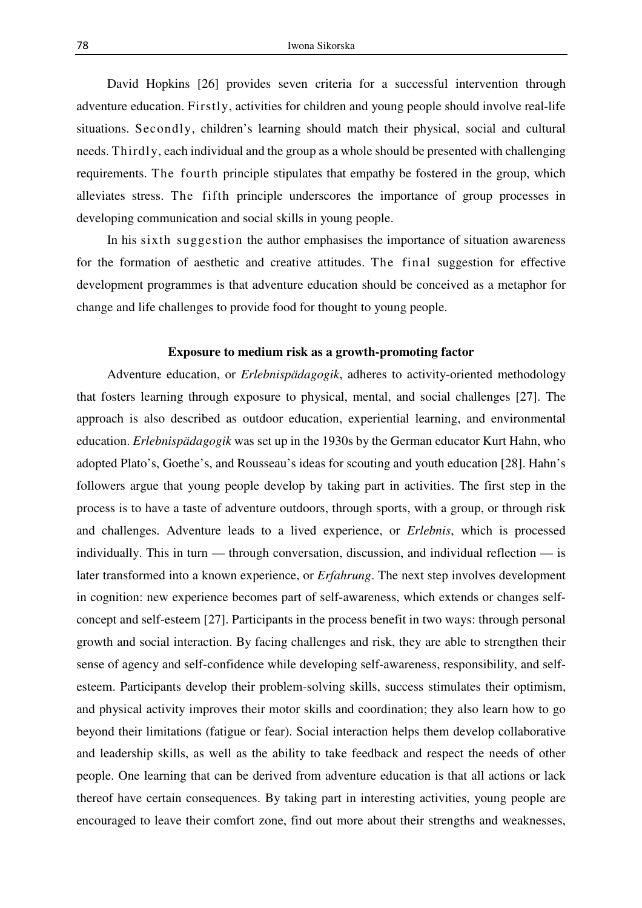David Hopkins [26] provides seven criteria for a successful intervention through adventure education. Firstly, activities for children and young people should involve real-life situations. Secondly, children's learning should match their physical, social and cultural needs. Thirdly, each individual and the group as a whole should be presented with challenging requirements. The fourth principle stipulates that empathy be fostered in the group, which alleviates stress. The fifth principle underscores the importance of group processes in developing communication and social skills in young people.

In his sixth suggestion the author emphasises the importance of situation awareness for the formation of aesthetic and creative attitudes. The final suggestion for effective development programmes is that adventure education should be conceived as a metaphor for change and life challenges to provide food for thought to young people.

# **Exposure to medium risk as a growth-promoting factor**

Adventure education, or *Erlebnispädagogik*, adheres to activity-oriented methodology that fosters learning through exposure to physical, mental, and social challenges [27]. The approach is also described as outdoor education, experiential learning, and environmental education. *Erlebnispädagogik* was set up in the 1930s by the German educator Kurt Hahn, who adopted Plato's, Goethe's, and Rousseau's ideas for scouting and youth education [28]. Hahn's followers argue that young people develop by taking part in activities. The first step in the process is to have a taste of adventure outdoors, through sports, with a group, or through risk and challenges. Adventure leads to a lived experience, or *Erlebnis*, which is processed individually. This in turn — through conversation, discussion, and individual reflection — is later transformed into a known experience, or *Erfahrung*. The next step involves development in cognition: new experience becomes part of self-awareness, which extends or changes selfconcept and self-esteem [27]. Participants in the process benefit in two ways: through personal growth and social interaction. By facing challenges and risk, they are able to strengthen their sense of agency and self-confidence while developing self-awareness, responsibility, and selfesteem. Participants develop their problem-solving skills, success stimulates their optimism, and physical activity improves their motor skills and coordination; they also learn how to go beyond their limitations (fatigue or fear). Social interaction helps them develop collaborative and leadership skills, as well as the ability to take feedback and respect the needs of other people. One learning that can be derived from adventure education is that all actions or lack thereof have certain consequences. By taking part in interesting activities, young people are encouraged to leave their comfort zone, find out more about their strengths and weaknesses,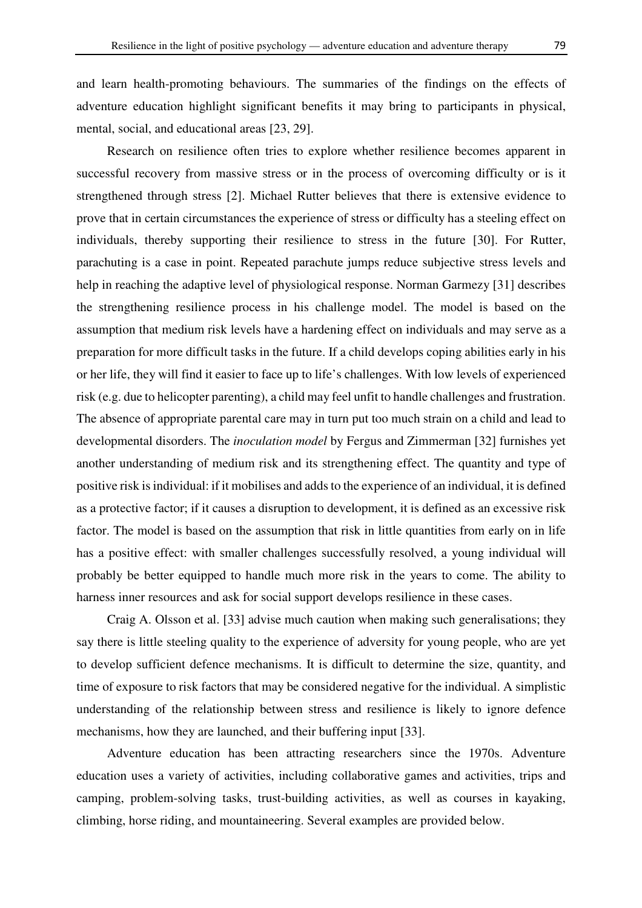and learn health-promoting behaviours. The summaries of the findings on the effects of adventure education highlight significant benefits it may bring to participants in physical, mental, social, and educational areas [23, 29].

Research on resilience often tries to explore whether resilience becomes apparent in successful recovery from massive stress or in the process of overcoming difficulty or is it strengthened through stress [2]. Michael Rutter believes that there is extensive evidence to prove that in certain circumstances the experience of stress or difficulty has a steeling effect on individuals, thereby supporting their resilience to stress in the future [30]. For Rutter, parachuting is a case in point. Repeated parachute jumps reduce subjective stress levels and help in reaching the adaptive level of physiological response. Norman Garmezy [31] describes the strengthening resilience process in his challenge model. The model is based on the assumption that medium risk levels have a hardening effect on individuals and may serve as a preparation for more difficult tasks in the future. If a child develops coping abilities early in his or her life, they will find it easier to face up to life's challenges. With low levels of experienced risk (e.g. due to helicopter parenting), a child may feel unfit to handle challenges and frustration. The absence of appropriate parental care may in turn put too much strain on a child and lead to developmental disorders. The *inoculation model* by Fergus and Zimmerman [32] furnishes yet another understanding of medium risk and its strengthening effect. The quantity and type of positive risk is individual: if it mobilises and adds to the experience of an individual, it is defined as a protective factor; if it causes a disruption to development, it is defined as an excessive risk factor. The model is based on the assumption that risk in little quantities from early on in life has a positive effect: with smaller challenges successfully resolved, a young individual will probably be better equipped to handle much more risk in the years to come. The ability to harness inner resources and ask for social support develops resilience in these cases.

Craig A. Olsson et al. [33] advise much caution when making such generalisations; they say there is little steeling quality to the experience of adversity for young people, who are yet to develop sufficient defence mechanisms. It is difficult to determine the size, quantity, and time of exposure to risk factors that may be considered negative for the individual. A simplistic understanding of the relationship between stress and resilience is likely to ignore defence mechanisms, how they are launched, and their buffering input [33].

Adventure education has been attracting researchers since the 1970s. Adventure education uses a variety of activities, including collaborative games and activities, trips and camping, problem-solving tasks, trust-building activities, as well as courses in kayaking, climbing, horse riding, and mountaineering. Several examples are provided below.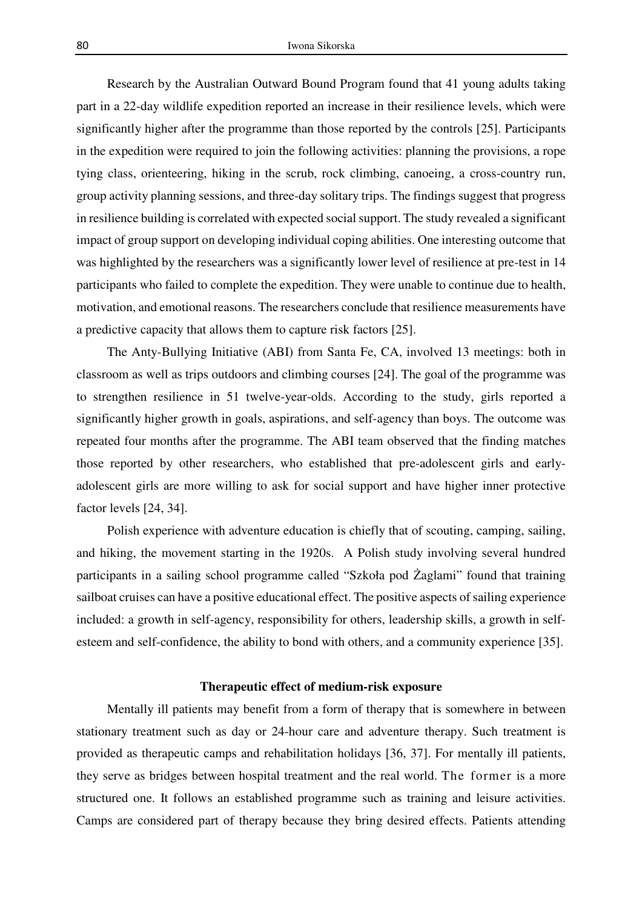Research by the Australian Outward Bound Program found that 41 young adults taking part in a 22-day wildlife expedition reported an increase in their resilience levels, which were significantly higher after the programme than those reported by the controls [25]. Participants in the expedition were required to join the following activities: planning the provisions, a rope tying class, orienteering, hiking in the scrub, rock climbing, canoeing, a cross-country run, group activity planning sessions, and three-day solitary trips. The findings suggest that progress in resilience building is correlated with expected social support. The study revealed a significant impact of group support on developing individual coping abilities. One interesting outcome that was highlighted by the researchers was a significantly lower level of resilience at pre-test in 14 participants who failed to complete the expedition. They were unable to continue due to health, motivation, and emotional reasons. The researchers conclude that resilience measurements have a predictive capacity that allows them to capture risk factors [25].

The Anty-Bullying Initiative (ABI) from Santa Fe, CA, involved 13 meetings: both in classroom as well as trips outdoors and climbing courses [24]. The goal of the programme was to strengthen resilience in 51 twelve-year-olds. According to the study, girls reported a significantly higher growth in goals, aspirations, and self-agency than boys. The outcome was repeated four months after the programme. The ABI team observed that the finding matches those reported by other researchers, who established that pre-adolescent girls and earlyadolescent girls are more willing to ask for social support and have higher inner protective factor levels [24, 34].

Polish experience with adventure education is chiefly that of scouting, camping, sailing, and hiking, the movement starting in the 1920s. A Polish study involving several hundred participants in a sailing school programme called "Szkoła pod Żaglami" found that training sailboat cruises can have a positive educational effect. The positive aspects of sailing experience included: a growth in self-agency, responsibility for others, leadership skills, a growth in selfesteem and self-confidence, the ability to bond with others, and a community experience [35].

#### **Therapeutic effect of medium-risk exposure**

Mentally ill patients may benefit from a form of therapy that is somewhere in between stationary treatment such as day or 24-hour care and adventure therapy. Such treatment is provided as therapeutic camps and rehabilitation holidays [36, 37]. For mentally ill patients, they serve as bridges between hospital treatment and the real world. The former is a more structured one. It follows an established programme such as training and leisure activities. Camps are considered part of therapy because they bring desired effects. Patients attending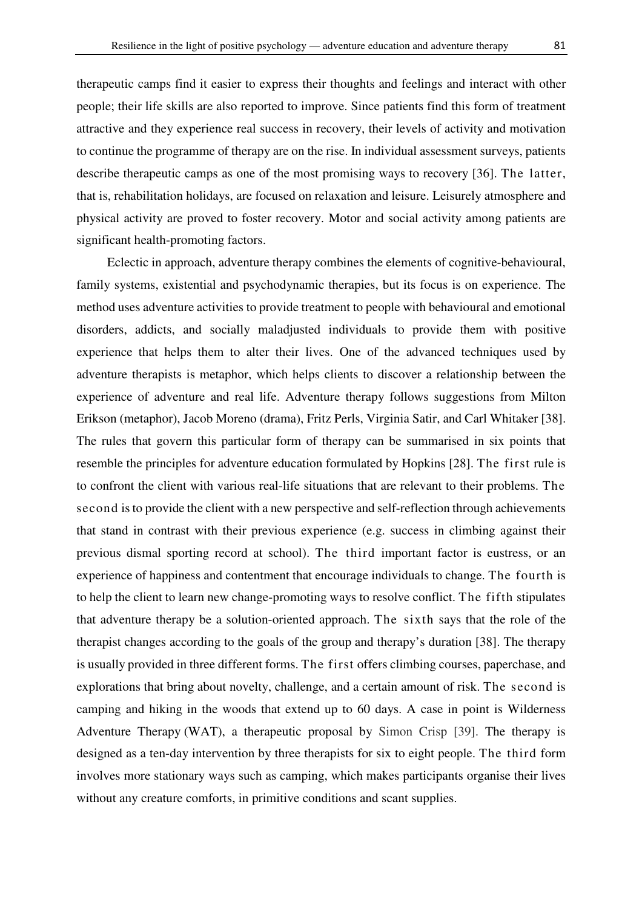therapeutic camps find it easier to express their thoughts and feelings and interact with other people; their life skills are also reported to improve. Since patients find this form of treatment attractive and they experience real success in recovery, their levels of activity and motivation to continue the programme of therapy are on the rise. In individual assessment surveys, patients describe therapeutic camps as one of the most promising ways to recovery [36]. The latter, that is, rehabilitation holidays, are focused on relaxation and leisure. Leisurely atmosphere and physical activity are proved to foster recovery. Motor and social activity among patients are significant health-promoting factors.

Eclectic in approach, adventure therapy combines the elements of cognitive-behavioural, family systems, existential and psychodynamic therapies, but its focus is on experience. The method uses adventure activities to provide treatment to people with behavioural and emotional disorders, addicts, and socially maladjusted individuals to provide them with positive experience that helps them to alter their lives. One of the advanced techniques used by adventure therapists is metaphor, which helps clients to discover a relationship between the experience of adventure and real life. Adventure therapy follows suggestions from Milton Erikson (metaphor), Jacob Moreno (drama), Fritz Perls, Virginia Satir, and Carl Whitaker [38]. The rules that govern this particular form of therapy can be summarised in six points that resemble the principles for adventure education formulated by Hopkins [28]. The first rule is to confront the client with various real-life situations that are relevant to their problems. The second is to provide the client with a new perspective and self-reflection through achievements that stand in contrast with their previous experience (e.g. success in climbing against their previous dismal sporting record at school). The third important factor is eustress, or an experience of happiness and contentment that encourage individuals to change. The fourth is to help the client to learn new change-promoting ways to resolve conflict. The fifth stipulates that adventure therapy be a solution-oriented approach. The sixth says that the role of the therapist changes according to the goals of the group and therapy's duration [38]. The therapy is usually provided in three different forms. The first offers climbing courses, paperchase, and explorations that bring about novelty, challenge, and a certain amount of risk. The second is camping and hiking in the woods that extend up to 60 days. A case in point is Wilderness Adventure Therapy (WAT), a therapeutic proposal by Simon Crisp [39]. The therapy is designed as a ten-day intervention by three therapists for six to eight people. The third form involves more stationary ways such as camping, which makes participants organise their lives without any creature comforts, in primitive conditions and scant supplies.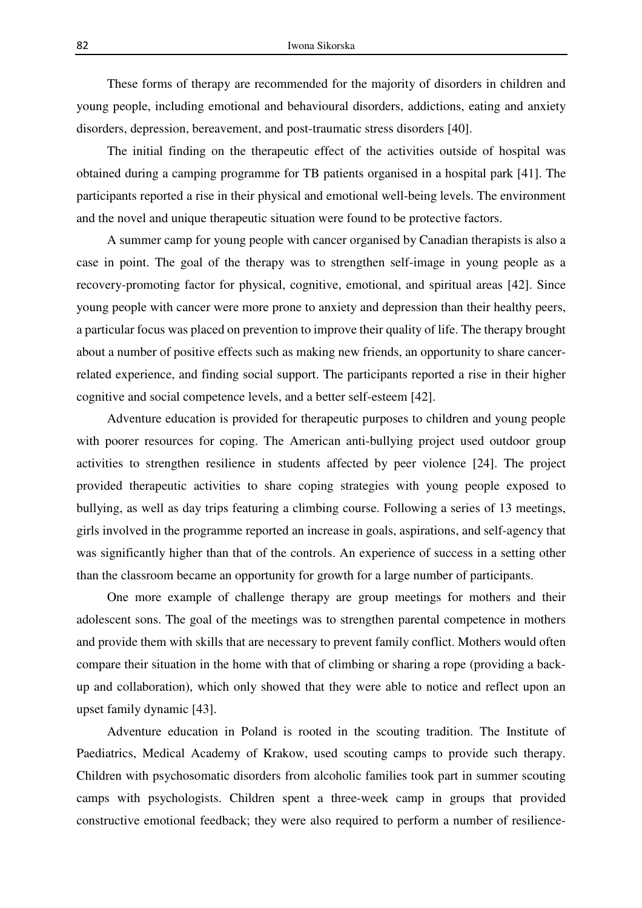These forms of therapy are recommended for the majority of disorders in children and young people, including emotional and behavioural disorders, addictions, eating and anxiety disorders, depression, bereavement, and post-traumatic stress disorders [40].

The initial finding on the therapeutic effect of the activities outside of hospital was obtained during a camping programme for TB patients organised in a hospital park [41]. The participants reported a rise in their physical and emotional well-being levels. The environment and the novel and unique therapeutic situation were found to be protective factors.

A summer camp for young people with cancer organised by Canadian therapists is also a case in point. The goal of the therapy was to strengthen self-image in young people as a recovery-promoting factor for physical, cognitive, emotional, and spiritual areas [42]. Since young people with cancer were more prone to anxiety and depression than their healthy peers, a particular focus was placed on prevention to improve their quality of life. The therapy brought about a number of positive effects such as making new friends, an opportunity to share cancerrelated experience, and finding social support. The participants reported a rise in their higher cognitive and social competence levels, and a better self-esteem [42].

Adventure education is provided for therapeutic purposes to children and young people with poorer resources for coping. The American anti-bullying project used outdoor group activities to strengthen resilience in students affected by peer violence [24]. The project provided therapeutic activities to share coping strategies with young people exposed to bullying, as well as day trips featuring a climbing course. Following a series of 13 meetings, girls involved in the programme reported an increase in goals, aspirations, and self-agency that was significantly higher than that of the controls. An experience of success in a setting other than the classroom became an opportunity for growth for a large number of participants.

One more example of challenge therapy are group meetings for mothers and their adolescent sons. The goal of the meetings was to strengthen parental competence in mothers and provide them with skills that are necessary to prevent family conflict. Mothers would often compare their situation in the home with that of climbing or sharing a rope (providing a backup and collaboration), which only showed that they were able to notice and reflect upon an upset family dynamic [43].

Adventure education in Poland is rooted in the scouting tradition. The Institute of Paediatrics, Medical Academy of Krakow, used scouting camps to provide such therapy. Children with psychosomatic disorders from alcoholic families took part in summer scouting camps with psychologists. Children spent a three-week camp in groups that provided constructive emotional feedback; they were also required to perform a number of resilience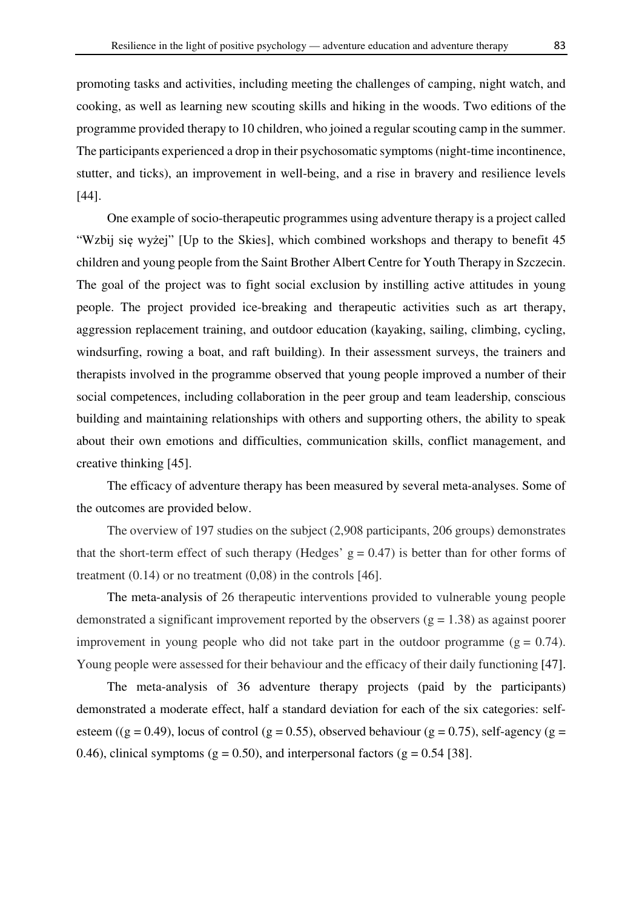promoting tasks and activities, including meeting the challenges of camping, night watch, and cooking, as well as learning new scouting skills and hiking in the woods. Two editions of the programme provided therapy to 10 children, who joined a regular scouting camp in the summer. The participants experienced a drop in their psychosomatic symptoms (night-time incontinence, stutter, and ticks), an improvement in well-being, and a rise in bravery and resilience levels [44].

One example of socio-therapeutic programmes using adventure therapy is a project called "Wzbij się wyżej" [Up to the Skies], which combined workshops and therapy to benefit 45 children and young people from the Saint Brother Albert Centre for Youth Therapy in Szczecin. The goal of the project was to fight social exclusion by instilling active attitudes in young people. The project provided ice-breaking and therapeutic activities such as art therapy, aggression replacement training, and outdoor education (kayaking, sailing, climbing, cycling, windsurfing, rowing a boat, and raft building). In their assessment surveys, the trainers and therapists involved in the programme observed that young people improved a number of their social competences, including collaboration in the peer group and team leadership, conscious building and maintaining relationships with others and supporting others, the ability to speak about their own emotions and difficulties, communication skills, conflict management, and creative thinking [45].

The efficacy of adventure therapy has been measured by several meta-analyses. Some of the outcomes are provided below.

The overview of 197 studies on the subject (2,908 participants, 206 groups) demonstrates that the short-term effect of such therapy (Hedges'  $g = 0.47$ ) is better than for other forms of treatment  $(0.14)$  or no treatment  $(0.08)$  in the controls [46].

The meta-analysis of 26 therapeutic interventions provided to vulnerable young people demonstrated a significant improvement reported by the observers ( $g = 1.38$ ) as against poorer improvement in young people who did not take part in the outdoor programme ( $g = 0.74$ ). Young people were assessed for their behaviour and the efficacy of their daily functioning [47].

The meta-analysis of 36 adventure therapy projects (paid by the participants) demonstrated a moderate effect, half a standard deviation for each of the six categories: selfesteem ((g = 0.49), locus of control (g = 0.55), observed behaviour (g = 0.75), self-agency (g = 0.46), clinical symptoms ( $g = 0.50$ ), and interpersonal factors ( $g = 0.54$  [38].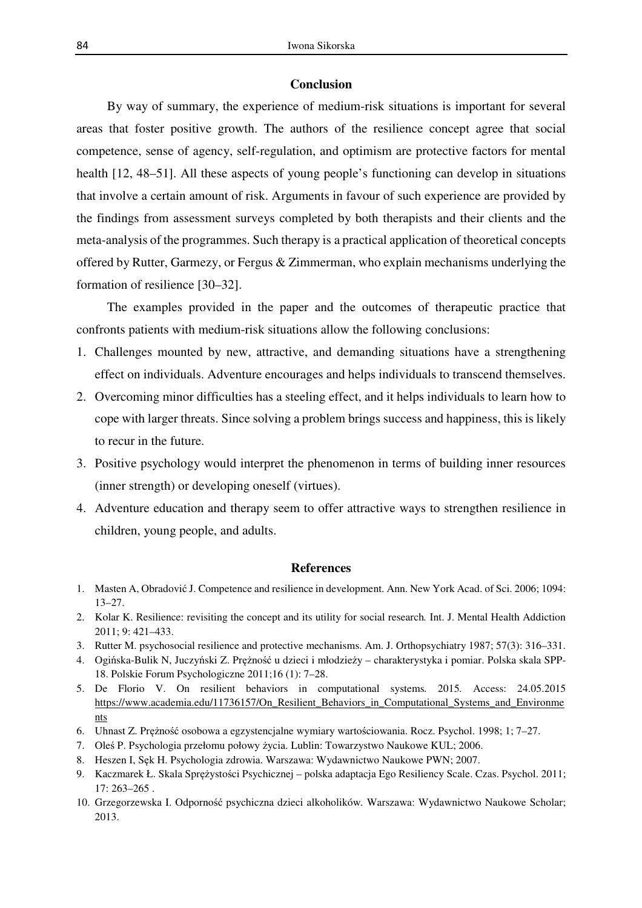# **Conclusion**

By way of summary, the experience of medium-risk situations is important for several areas that foster positive growth. The authors of the resilience concept agree that social competence, sense of agency, self-regulation, and optimism are protective factors for mental health [12, 48–51]. All these aspects of young people's functioning can develop in situations that involve a certain amount of risk. Arguments in favour of such experience are provided by the findings from assessment surveys completed by both therapists and their clients and the meta-analysis of the programmes. Such therapy is a practical application of theoretical concepts offered by Rutter, Garmezy, or Fergus & Zimmerman, who explain mechanisms underlying the formation of resilience [30–32].

The examples provided in the paper and the outcomes of therapeutic practice that confronts patients with medium-risk situations allow the following conclusions:

- 1. Challenges mounted by new, attractive, and demanding situations have a strengthening effect on individuals. Adventure encourages and helps individuals to transcend themselves.
- 2. Overcoming minor difficulties has a steeling effect, and it helps individuals to learn how to cope with larger threats. Since solving a problem brings success and happiness, this is likely to recur in the future.
- 3. Positive psychology would interpret the phenomenon in terms of building inner resources (inner strength) or developing oneself (virtues).
- 4. Adventure education and therapy seem to offer attractive ways to strengthen resilience in children, young people, and adults.

#### **References**

- 1. Masten A, Obradović J. Competence and resilience in development. Ann. New York Acad. of Sci. 2006; 1094: 13–27.
- 2. Kolar K. Resilience: revisiting the concept and its utility for social research*.* Int. J. Mental Health Addiction 2011; 9: 421–433.
- 3. Rutter M. psychosocial resilience and protective mechanisms. Am. J. Orthopsychiatry 1987; 57(3): 316–331.
- 4. Ogińska-Bulik N, Juczyński Z. Prężność u dzieci i młodzieży charakterystyka i pomiar. Polska skala SPP-18. Polskie Forum Psychologiczne 2011;16 (1): 7–28.
- 5. De Florio V. On resilient behaviors in computational systems*.* 2015*.* Access: 24.05.2015 https://www.academia.edu/11736157/On\_Resilient\_Behaviors\_in\_Computational\_Systems\_and\_Environme nts
- 6. Uhnast Z. Prężność osobowa a egzystencjalne wymiary wartościowania. Rocz. Psychol. 1998; 1; 7–27.
- 7. Oleś P. Psychologia przełomu połowy życia. Lublin: Towarzystwo Naukowe KUL; 2006.
- 8. Heszen I, Sęk H. Psychologia zdrowia. Warszawa: Wydawnictwo Naukowe PWN; 2007.
- 9. Kaczmarek Ł. Skala Sprężystości Psychicznej polska adaptacja Ego Resiliency Scale. Czas. Psychol. 2011; 17: 263–265 .
- 10. Grzegorzewska I. Odporność psychiczna dzieci alkoholików*.* Warszawa: Wydawnictwo Naukowe Scholar; 2013.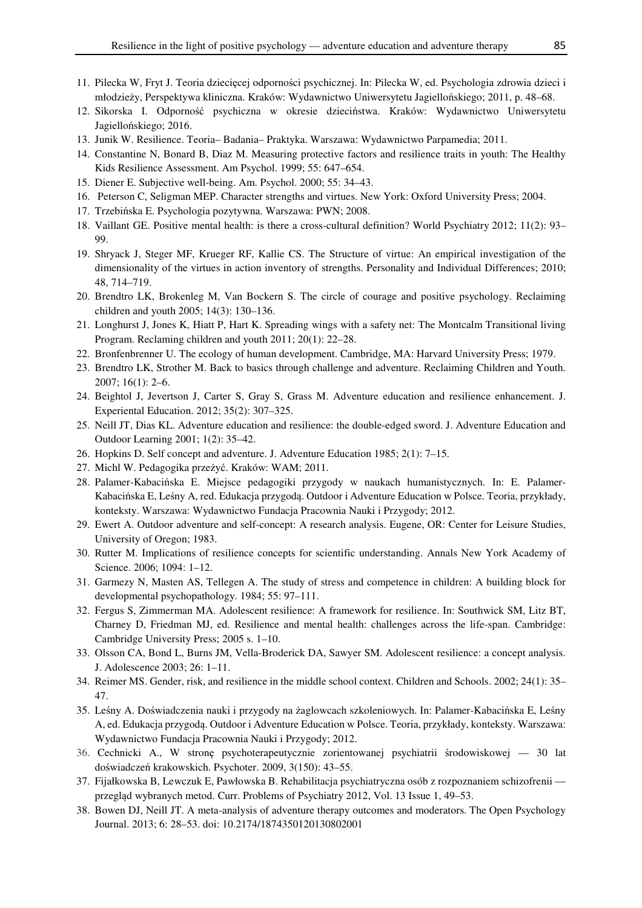- 11. Pilecka W, Fryt J. Teoria dziecięcej odporności psychicznej. In: Pilecka W, ed. Psychologia zdrowia dzieci i młodzieży, Perspektywa kliniczna. Kraków: Wydawnictwo Uniwersytetu Jagiellońskiego; 2011, p. 48–68.
- 12. Sikorska I. Odporność psychiczna w okresie dzieciństwa. Kraków: Wydawnictwo Uniwersytetu Jagiellońskiego; 2016.
- 13. Junik W. Resilience. Teoria– Badania– Praktyka. Warszawa: Wydawnictwo Parpamedia; 2011.
- 14. Constantine N, Bonard B, Diaz M. Measuring protective factors and resilience traits in youth: The Healthy Kids Resilience Assessment. Am Psychol. 1999; 55: 647–654.
- 15. Diener E. Subjective well-being. Am. Psychol. 2000; 55: 34–43.
- 16. Peterson C, Seligman MEP. Character strengths and virtues. New York: Oxford University Press; 2004.
- 17. Trzebińska E. Psychologia pozytywna. Warszawa: PWN; 2008.
- 18. Vaillant GE. Positive mental health: is there a cross-cultural definition? World Psychiatry 2012; 11(2): 93– 99.
- 19. Shryack J, Steger MF, Krueger RF, Kallie CS. The Structure of virtue: An empirical investigation of the dimensionality of the virtues in action inventory of strengths. Personality and Individual Differences; 2010; 48, 714–719.
- 20. Brendtro LK, Brokenleg M, Van Bockern S. The circle of courage and positive psychology. Reclaiming children and youth 2005; 14(3): 130–136.
- 21. Longhurst J, Jones K, Hiatt P, Hart K. Spreading wings with a safety net: The Montcalm Transitional living Program. Reclaming children and youth 2011; 20(1): 22–28.
- 22. Bronfenbrenner U. The ecology of human development. Cambridge, MA: Harvard University Press; 1979.
- 23. Brendtro LK, Strother M. Back to basics through challenge and adventure. Reclaiming Children and Youth. 2007; 16(1): 2–6.
- 24. Beightol J, Jevertson J, Carter S, Gray S, Grass M. Adventure education and resilience enhancement. J. Experiental Education. 2012; 35(2): 307–325.
- 25. Neill JT, Dias KL. Adventure education and resilience: the double-edged sword. J. Adventure Education and Outdoor Learning 2001; 1(2): 35–42.
- 26. Hopkins D. Self concept and adventure. J. Adventure Education 1985; 2(1): 7–15.
- 27. Michl W. Pedagogika przeżyć. Kraków: WAM; 2011.
- 28. Palamer-Kabacińska E. Miejsce pedagogiki przygody w naukach humanistycznych. In: E. Palamer-Kabacińska E, Leśny A, red. Edukacja przygodą. Outdoor i Adventure Education w Polsce. Teoria, przykłady, konteksty. Warszawa: Wydawnictwo Fundacja Pracownia Nauki i Przygody; 2012.
- 29. Ewert A. Outdoor adventure and self-concept: A research analysis. Eugene, OR: Center for Leisure Studies, University of Oregon; 1983.
- 30. Rutter M. Implications of resilience concepts for scientific understanding. Annals New York Academy of Science. 2006; 1094: 1–12.
- 31. Garmezy N, Masten AS, Tellegen A. The study of stress and competence in children: A building block for developmental psychopathology. 1984; 55: 97–111.
- 32. Fergus S, Zimmerman MA. Adolescent resilience: A framework for resilience. In: Southwick SM, Litz BT, Charney D, Friedman MJ, ed. Resilience and mental health: challenges across the life-span. Cambridge: Cambridge University Press; 2005 s. 1–10.
- 33. Olsson CA, Bond L, Burns JM, Vella-Broderick DA, Sawyer SM. Adolescent resilience: a concept analysis. J. Adolescence 2003; 26: 1–11.
- 34. Reimer MS. Gender, risk, and resilience in the middle school context. Children and Schools. 2002; 24(1): 35– 47.
- 35. Leśny A. Doświadczenia nauki i przygody na żaglowcach szkoleniowych. In: Palamer-Kabacińska E, Leśny A, ed. Edukacja przygodą. Outdoor i Adventure Education w Polsce. Teoria, przykłady, konteksty. Warszawa: Wydawnictwo Fundacja Pracownia Nauki i Przygody; 2012.
- 36. Cechnicki A., W stronę psychoterapeutycznie zorientowanej psychiatrii środowiskowej 30 lat doświadczeń krakowskich. Psychoter. 2009, 3(150): 43–55.
- 37. Fijałkowska B, Lewczuk E, Pawłowska B. Rehabilitacja psychiatryczna osób z rozpoznaniem schizofrenii przegląd wybranych metod. Curr. Problems of Psychiatry 2012, Vol. 13 Issue 1, 49–53.
- 38. Bowen DJ, Neill JT. A meta-analysis of adventure therapy outcomes and moderators. The Open Psychology Journal. 2013; 6: 28–53. doi: 10.2174/1874350120130802001